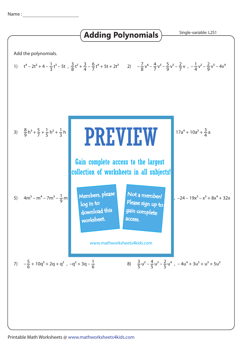